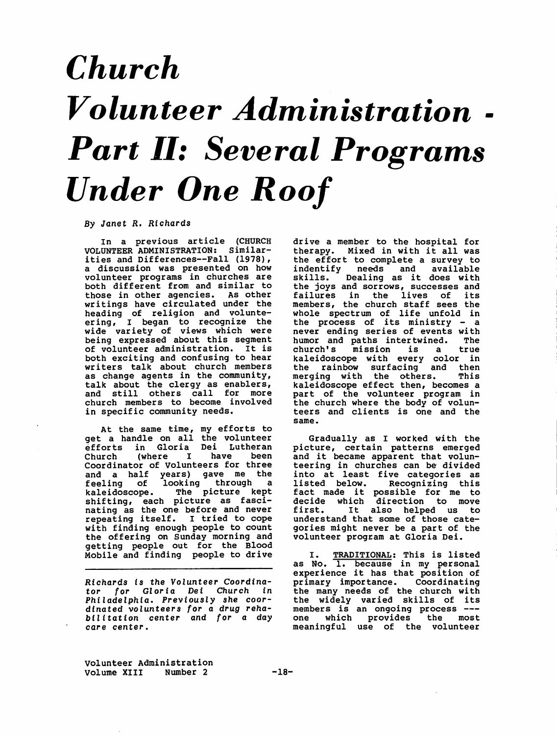## *Church*   $\boldsymbol{V}$ olunteer Administratio *Part II: Several Programs Under One Roof*  -

*By Janet* R. *Richards* 

In a previous article (CHURCH VOLUNTEER ADMINISTRATION: Similarities and Differences--Fall (1978), a discussion was presented on how volunteer programs in churches are both different from and similar to those in other agencies. As other writings have circulated under the heading of religion and volunt ering, I began to recognize the wide variety of views which were being expressed about this segment of volunteer administration. It is both exciting and confusing to hear writers talk about church members as change agents in the community talk about the clergy as enablers, and still others call for more church members to become involved in specific community needs.

At the same time, my efforts to get a handle on all the volunteer efforts in Gloria Dei Lutheran (where I have been Coordinator of volunteers for three and a half years) gave me the feeling of looking through a kaleidoscope. The picture kept shifting, each picture as fasc nating as the one before and never repeating itself. I tried to cope with finding enough people to count the offering on Sunday morning and getting people out for the Blood Mobile and finding people to drive

*Richards* is *the* Volunteer Coordinator for *Gloria* Dei *Church* in *Philadelphia. Previously she* coordinated volunteers *for* a *drug reha- bilitation* center *and for* a *day care* center.

drive a member to the hospital for therapy. Mixed in with it all was the effort to complete a survey to indentify needs and availab skills. Dealing as it does with the joys and sorrows, successes and failures in the lives of its members, the church staff sees the whole spectrum of life unfold in the process of its ministry - a never ending series of events with humor and paths intertwined. The church's mission is a true kaleidoscope with every color in the rainbow surfacing and then merging with the others. This kaleidoscope effect then, becomes a part of the volunteer program in the church where the body of volunteers and clients is one and the same.

Gradually as I worked with the picture, certain patterns emerged and it became apparent that volunteering in churches can be divide into at least five categories as listed below. Recognizing this fact made it possible for me to decide which direction to move<br>first. It also helped us to It also helped us to understand that some of those categories might never be a part of the volunteer program at Gloria Dei.

I. TRADITIONAL: This is list as No. 1. because in my person experience it has that position of primary importance. Coordinat: the many needs of the church with the widely varied skills of it members is an ongoing process -- one which provides the most meaningful use of the volunteer

volunteer Administration volume **XIII** Number 2 -18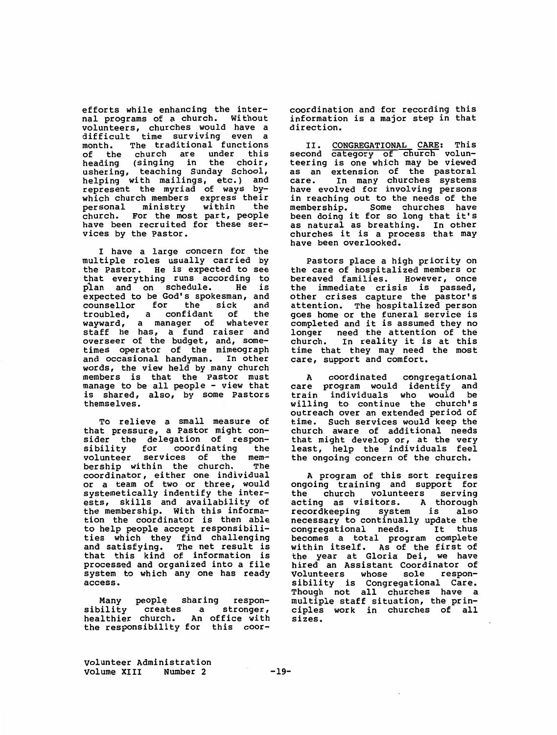efforts while enhancing the internal programs of a church. Without volunteers, churches would have a difficult time surviving even a month. The traditional functions of the church are under thi heading (singing in the choir, ushering, teaching Sunday School, helping with mailings, etc.) and represent the myriad of ways bywhich church members express their<br>personal ministry within the ministry church. For the most part, people have been recruited for these services by the Pastor.

I have a large concern for the multiple roles usually carried by the Pastor. He is expected to see that everything runs according to<br>plan and on schedule. He is  $p$ lan and on schedule. expected to be God's spokesman, and<br>counsellor for the sick and counsellor for the sick and<br>troubled, a confidant of the troubled, a confidant wayward, a manager of whatever staff he has, a fund raiser and overseer of the budget, and, sometimes operator of the mimeograph and occasional handyman. In other words, the view held by many church members is that the Pastor must manage to be all people - view that is shared, also, by some Pastors themselves.

To relieve a small measure of that pressure, a Pastor might consider the delegation of respon-<br>sibility for coordinating the sibility for coordinating the<br>volunteer services of the memvolunteer services of the membership within the church. coordinator, either one individual or a team of two or three, would systemetically indentify the interests, skills and availability of the membership. With this information the coordinator is then able to help people accept responsib ties which they find challengi and satisfying. The net result is that this kind of information is processed and organized into a file system to which any one has ready access.

Many people sharing respon-<br>bility creates a stronger, sibility creates a stronger,<br>healthier church. An office-with healthier church. the responsibility for this coorcoordination and for recording this information is a major step in that direction.

II. **CONGREGATIONAL CARE: This**  second category of church volunteering is one which may be viewed as an extension of the pastor care. In many churches system have evolved for involving persons in reaching out to the needs of the membership. Some churches have been doing it for so long that it' as natural as breathing. In othe churches it is a process that may have been overlooked.

Pastors place a high priority on the care of hospitalized members or bereaved families. However, once the immediate crisis is passed, other crises capture the pastor's attention. The hospitalized person goes home or the funeral service is completed and it is assumed they no longer need the attention of the<br>church. In reality it is at this In reality it is at this time that they may need the most care, support and comfort.

A coordinated congregational care program would identify and train individuals who would be willing to continue the church's outreach over an extended period of time. such services would keep the church aware of additional needs that might develop or, at the very least, help the individuals feel the ongoing concern of the church.

A program of this sort requires ongoing training and support for the church volunteers serving<br>acting as visitors. A thorough acting as visitors. recordkeeping system is also necessary to continually update the<br>congregational needs. It thus congregational needs. becomes a total program complete within itself. As of the first of the year at Gloria Dei, we have hired an Assistant Coordinator of<br>Volunteers whose sole respon-Volunteers whose sole sibility is Congregational Care. Though not all churches have a multiple staff situation, the principles work in churches of all **sizes.** 

volunteer Administration Volume XIII